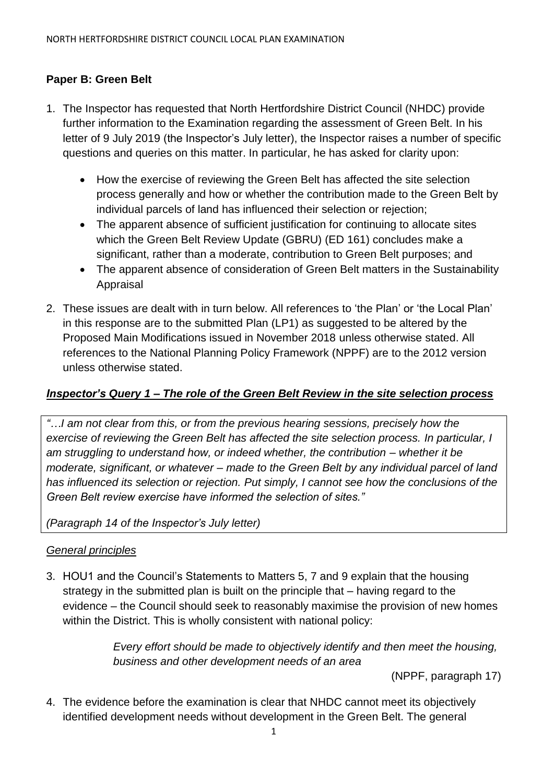# **Paper B: Green Belt**

- 1. The Inspector has requested that North Hertfordshire District Council (NHDC) provide further information to the Examination regarding the assessment of Green Belt. In his letter of 9 July 2019 (the Inspector's July letter), the Inspector raises a number of specific questions and queries on this matter. In particular, he has asked for clarity upon:
	- How the exercise of reviewing the Green Belt has affected the site selection process generally and how or whether the contribution made to the Green Belt by individual parcels of land has influenced their selection or rejection;
	- The apparent absence of sufficient justification for continuing to allocate sites which the Green Belt Review Update (GBRU) (ED 161) concludes make a significant, rather than a moderate, contribution to Green Belt purposes; and
	- The apparent absence of consideration of Green Belt matters in the Sustainability Appraisal
- 2. These issues are dealt with in turn below. All references to 'the Plan' or 'the Local Plan' in this response are to the submitted Plan (LP1) as suggested to be altered by the Proposed Main Modifications issued in November 2018 unless otherwise stated. All references to the National Planning Policy Framework (NPPF) are to the 2012 version unless otherwise stated.

### *Inspector's Query 1 – The role of the Green Belt Review in the site selection process*

*"…I am not clear from this, or from the previous hearing sessions, precisely how the exercise of reviewing the Green Belt has affected the site selection process. In particular, I am struggling to understand how, or indeed whether, the contribution – whether it be moderate, significant, or whatever – made to the Green Belt by any individual parcel of land has influenced its selection or rejection. Put simply, I cannot see how the conclusions of the Green Belt review exercise have informed the selection of sites."*

*(Paragraph 14 of the Inspector's July letter)*

### *General principles*

3. HOU1 and the Council's Statements to Matters 5, 7 and 9 explain that the housing strategy in the submitted plan is built on the principle that – having regard to the evidence – the Council should seek to reasonably maximise the provision of new homes within the District. This is wholly consistent with national policy:

> *Every effort should be made to objectively identify and then meet the housing, business and other development needs of an area*

> > (NPPF, paragraph 17)

4. The evidence before the examination is clear that NHDC cannot meet its objectively identified development needs without development in the Green Belt. The general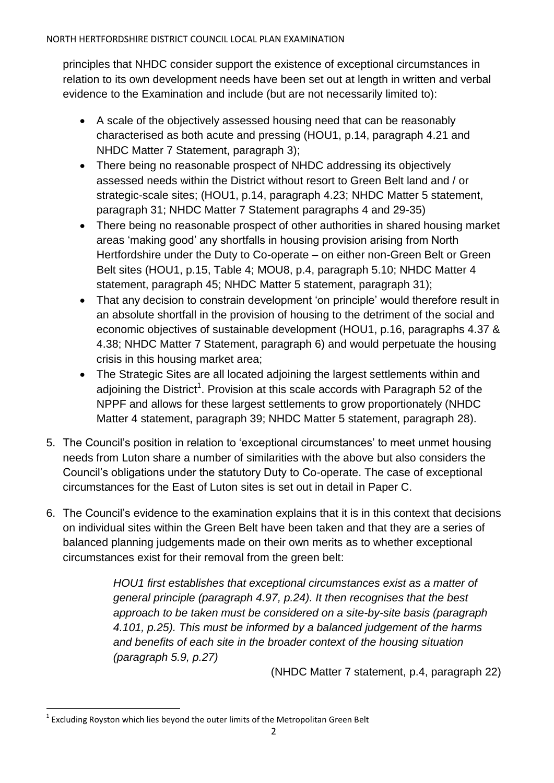principles that NHDC consider support the existence of exceptional circumstances in relation to its own development needs have been set out at length in written and verbal evidence to the Examination and include (but are not necessarily limited to):

- A scale of the objectively assessed housing need that can be reasonably characterised as both acute and pressing (HOU1, p.14, paragraph 4.21 and NHDC Matter 7 Statement, paragraph 3);
- There being no reasonable prospect of NHDC addressing its objectively assessed needs within the District without resort to Green Belt land and / or strategic-scale sites; (HOU1, p.14, paragraph 4.23; NHDC Matter 5 statement, paragraph 31; NHDC Matter 7 Statement paragraphs 4 and 29-35)
- There being no reasonable prospect of other authorities in shared housing market areas 'making good' any shortfalls in housing provision arising from North Hertfordshire under the Duty to Co-operate – on either non-Green Belt or Green Belt sites (HOU1, p.15, Table 4; MOU8, p.4, paragraph 5.10; NHDC Matter 4 statement, paragraph 45; NHDC Matter 5 statement, paragraph 31);
- That any decision to constrain development 'on principle' would therefore result in an absolute shortfall in the provision of housing to the detriment of the social and economic objectives of sustainable development (HOU1, p.16, paragraphs 4.37 & 4.38; NHDC Matter 7 Statement, paragraph 6) and would perpetuate the housing crisis in this housing market area;
- The Strategic Sites are all located adjoining the largest settlements within and adjoining the District<sup>1</sup>. Provision at this scale accords with Paragraph 52 of the NPPF and allows for these largest settlements to grow proportionately (NHDC Matter 4 statement, paragraph 39; NHDC Matter 5 statement, paragraph 28).
- 5. The Council's position in relation to 'exceptional circumstances' to meet unmet housing needs from Luton share a number of similarities with the above but also considers the Council's obligations under the statutory Duty to Co-operate. The case of exceptional circumstances for the East of Luton sites is set out in detail in Paper C.
- 6. The Council's evidence to the examination explains that it is in this context that decisions on individual sites within the Green Belt have been taken and that they are a series of balanced planning judgements made on their own merits as to whether exceptional circumstances exist for their removal from the green belt:

*HOU1 first establishes that exceptional circumstances exist as a matter of general principle (paragraph 4.97, p.24). It then recognises that the best approach to be taken must be considered on a site-by-site basis (paragraph 4.101, p.25). This must be informed by a balanced judgement of the harms and benefits of each site in the broader context of the housing situation (paragraph 5.9, p.27)*

(NHDC Matter 7 statement, p.4, paragraph 22)

 $\overline{a}$  $^{1}$  Excluding Royston which lies beyond the outer limits of the Metropolitan Green Belt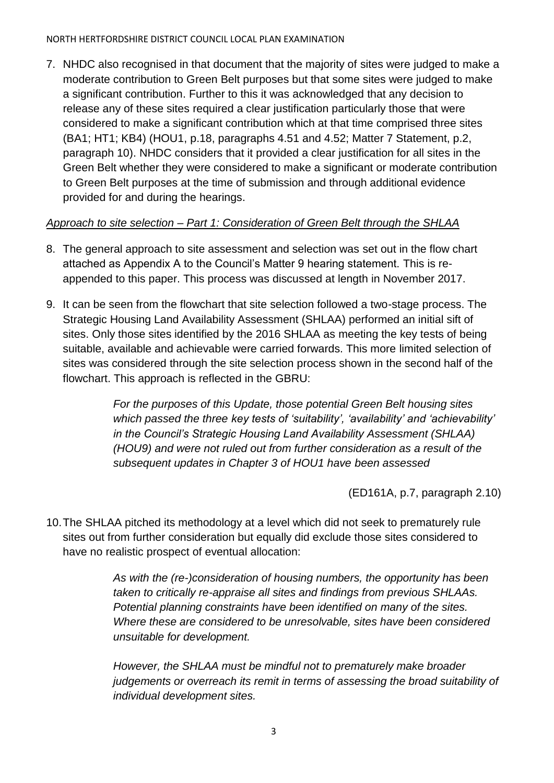7. NHDC also recognised in that document that the majority of sites were judged to make a moderate contribution to Green Belt purposes but that some sites were judged to make a significant contribution. Further to this it was acknowledged that any decision to release any of these sites required a clear justification particularly those that were considered to make a significant contribution which at that time comprised three sites (BA1; HT1; KB4) (HOU1, p.18, paragraphs 4.51 and 4.52; Matter 7 Statement, p.2, paragraph 10). NHDC considers that it provided a clear justification for all sites in the Green Belt whether they were considered to make a significant or moderate contribution to Green Belt purposes at the time of submission and through additional evidence provided for and during the hearings.

# *Approach to site selection – Part 1: Consideration of Green Belt through the SHLAA*

- 8. The general approach to site assessment and selection was set out in the flow chart attached as Appendix A to the Council's Matter 9 hearing statement. This is reappended to this paper. This process was discussed at length in November 2017.
- 9. It can be seen from the flowchart that site selection followed a two-stage process. The Strategic Housing Land Availability Assessment (SHLAA) performed an initial sift of sites. Only those sites identified by the 2016 SHLAA as meeting the key tests of being suitable, available and achievable were carried forwards. This more limited selection of sites was considered through the site selection process shown in the second half of the flowchart. This approach is reflected in the GBRU:

*For the purposes of this Update, those potential Green Belt housing sites which passed the three key tests of 'suitability', 'availability' and 'achievability' in the Council's Strategic Housing Land Availability Assessment (SHLAA) (HOU9) and were not ruled out from further consideration as a result of the subsequent updates in Chapter 3 of HOU1 have been assessed*

(ED161A, p.7, paragraph 2.10)

10.The SHLAA pitched its methodology at a level which did not seek to prematurely rule sites out from further consideration but equally did exclude those sites considered to have no realistic prospect of eventual allocation:

> *As with the (re-)consideration of housing numbers, the opportunity has been taken to critically re-appraise all sites and findings from previous SHLAAs. Potential planning constraints have been identified on many of the sites. Where these are considered to be unresolvable, sites have been considered unsuitable for development.*

*However, the SHLAA must be mindful not to prematurely make broader judgements or overreach its remit in terms of assessing the broad suitability of individual development sites.*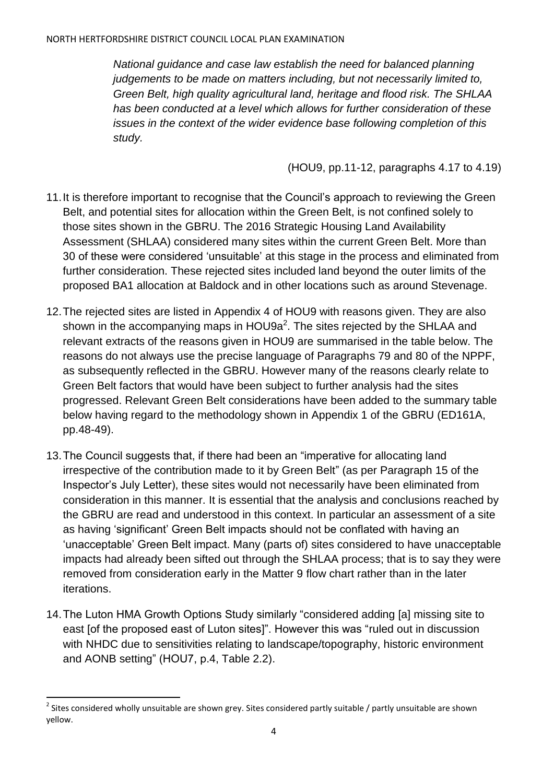*National guidance and case law establish the need for balanced planning judgements to be made on matters including, but not necessarily limited to, Green Belt, high quality agricultural land, heritage and flood risk. The SHLAA has been conducted at a level which allows for further consideration of these issues in the context of the wider evidence base following completion of this study.*

(HOU9, pp.11-12, paragraphs 4.17 to 4.19)

- 11. It is therefore important to recognise that the Council's approach to reviewing the Green Belt, and potential sites for allocation within the Green Belt, is not confined solely to those sites shown in the GBRU. The 2016 Strategic Housing Land Availability Assessment (SHLAA) considered many sites within the current Green Belt. More than 30 of these were considered 'unsuitable' at this stage in the process and eliminated from further consideration. These rejected sites included land beyond the outer limits of the proposed BA1 allocation at Baldock and in other locations such as around Stevenage.
- 12.The rejected sites are listed in Appendix 4 of HOU9 with reasons given. They are also shown in the accompanying maps in HOU9a<sup>2</sup>. The sites rejected by the SHLAA and relevant extracts of the reasons given in HOU9 are summarised in the table below. The reasons do not always use the precise language of Paragraphs 79 and 80 of the NPPF, as subsequently reflected in the GBRU. However many of the reasons clearly relate to Green Belt factors that would have been subject to further analysis had the sites progressed. Relevant Green Belt considerations have been added to the summary table below having regard to the methodology shown in Appendix 1 of the GBRU (ED161A, pp.48-49).
- 13.The Council suggests that, if there had been an "imperative for allocating land irrespective of the contribution made to it by Green Belt" (as per Paragraph 15 of the Inspector's July Letter), these sites would not necessarily have been eliminated from consideration in this manner. It is essential that the analysis and conclusions reached by the GBRU are read and understood in this context. In particular an assessment of a site as having 'significant' Green Belt impacts should not be conflated with having an 'unacceptable' Green Belt impact. Many (parts of) sites considered to have unacceptable impacts had already been sifted out through the SHLAA process; that is to say they were removed from consideration early in the Matter 9 flow chart rather than in the later iterations.
- 14.The Luton HMA Growth Options Study similarly "considered adding [a] missing site to east [of the proposed east of Luton sites]". However this was "ruled out in discussion with NHDC due to sensitivities relating to landscape/topography, historic environment and AONB setting" (HOU7, p.4, Table 2.2).

 $^2$  Sites considered wholly unsuitable are shown grey. Sites considered partly suitable / partly unsuitable are shown yellow.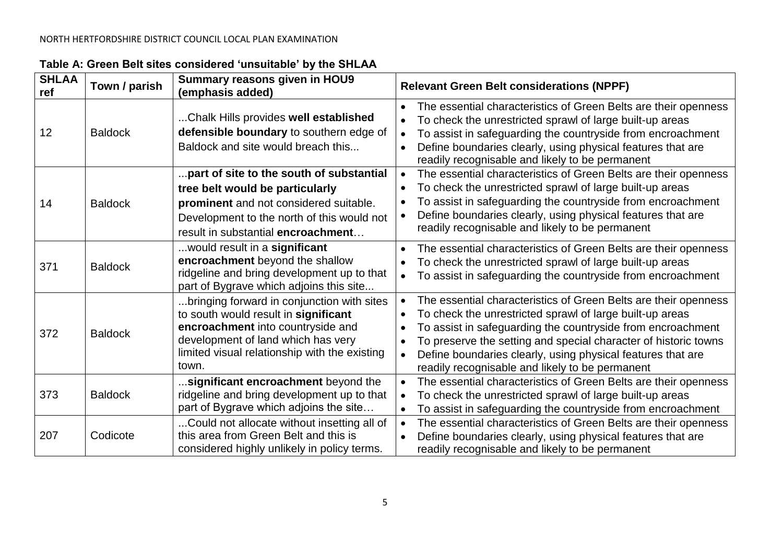| <b>SHLAA</b><br>ref | Town / parish  | <b>Summary reasons given in HOU9</b><br>(emphasis added)                                                                                                                                                                | <b>Relevant Green Belt considerations (NPPF)</b>                                                                                                                                                                                                                                                                                                                                                                                    |
|---------------------|----------------|-------------------------------------------------------------------------------------------------------------------------------------------------------------------------------------------------------------------------|-------------------------------------------------------------------------------------------------------------------------------------------------------------------------------------------------------------------------------------------------------------------------------------------------------------------------------------------------------------------------------------------------------------------------------------|
| 12                  | <b>Baldock</b> | Chalk Hills provides well established<br>defensible boundary to southern edge of<br>Baldock and site would breach this                                                                                                  | The essential characteristics of Green Belts are their openness<br>$\bullet$<br>To check the unrestricted sprawl of large built-up areas<br>To assist in safeguarding the countryside from encroachment<br>$\bullet$<br>Define boundaries clearly, using physical features that are<br>$\bullet$<br>readily recognisable and likely to be permanent                                                                                 |
| 14                  | <b>Baldock</b> | part of site to the south of substantial<br>tree belt would be particularly<br>prominent and not considered suitable.<br>Development to the north of this would not<br>result in substantial encroachment               | The essential characteristics of Green Belts are their openness<br>$\bullet$<br>To check the unrestricted sprawl of large built-up areas<br>To assist in safeguarding the countryside from encroachment<br>$\bullet$<br>Define boundaries clearly, using physical features that are<br>$\bullet$<br>readily recognisable and likely to be permanent                                                                                 |
| 371                 | <b>Baldock</b> | would result in a significant<br>encroachment beyond the shallow<br>ridgeline and bring development up to that<br>part of Bygrave which adjoins this site                                                               | The essential characteristics of Green Belts are their openness<br>$\bullet$<br>To check the unrestricted sprawl of large built-up areas<br>To assist in safeguarding the countryside from encroachment<br>$\bullet$                                                                                                                                                                                                                |
| 372                 | <b>Baldock</b> | bringing forward in conjunction with sites<br>to south would result in significant<br>encroachment into countryside and<br>development of land which has very<br>limited visual relationship with the existing<br>town. | The essential characteristics of Green Belts are their openness<br>$\bullet$<br>To check the unrestricted sprawl of large built-up areas<br>To assist in safeguarding the countryside from encroachment<br>$\bullet$<br>To preserve the setting and special character of historic towns<br>$\bullet$<br>Define boundaries clearly, using physical features that are<br>$\bullet$<br>readily recognisable and likely to be permanent |
| 373                 | <b>Baldock</b> | significant encroachment beyond the<br>ridgeline and bring development up to that<br>part of Bygrave which adjoins the site                                                                                             | The essential characteristics of Green Belts are their openness<br>$\bullet$<br>To check the unrestricted sprawl of large built-up areas<br>To assist in safeguarding the countryside from encroachment<br>$\bullet$                                                                                                                                                                                                                |
| 207                 | Codicote       | Could not allocate without insetting all of<br>this area from Green Belt and this is<br>considered highly unlikely in policy terms.                                                                                     | The essential characteristics of Green Belts are their openness<br>$\bullet$<br>Define boundaries clearly, using physical features that are<br>readily recognisable and likely to be permanent                                                                                                                                                                                                                                      |

# **Table A: Green Belt sites considered 'unsuitable' by the SHLAA**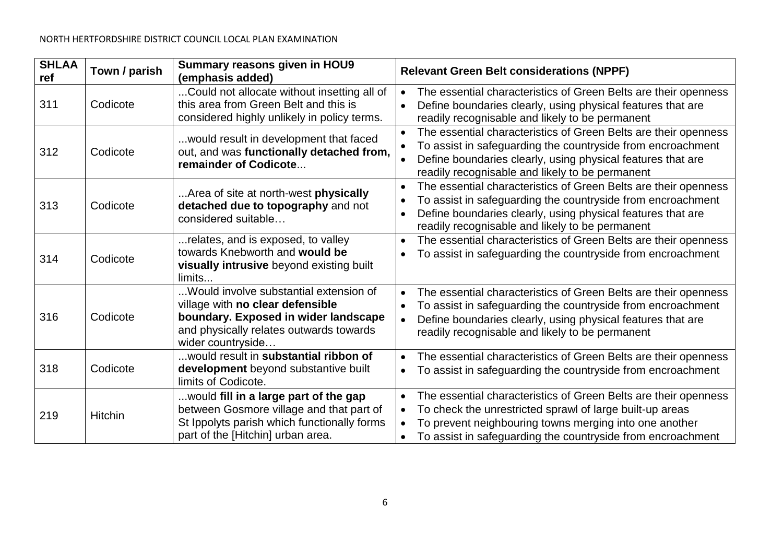| <b>SHLAA</b><br>ref | Town / parish  | <b>Summary reasons given in HOU9</b><br>(emphasis added)                                                                                                                           | <b>Relevant Green Belt considerations (NPPF)</b>                                                                                                                                                                                                                                            |
|---------------------|----------------|------------------------------------------------------------------------------------------------------------------------------------------------------------------------------------|---------------------------------------------------------------------------------------------------------------------------------------------------------------------------------------------------------------------------------------------------------------------------------------------|
| 311                 | Codicote       | Could not allocate without insetting all of<br>this area from Green Belt and this is<br>considered highly unlikely in policy terms.                                                | The essential characteristics of Green Belts are their openness<br>$\bullet$<br>Define boundaries clearly, using physical features that are<br>readily recognisable and likely to be permanent                                                                                              |
| 312                 | Codicote       | would result in development that faced<br>out, and was functionally detached from,<br>remainder of Codicote                                                                        | The essential characteristics of Green Belts are their openness<br>$\bullet$<br>To assist in safeguarding the countryside from encroachment<br>Define boundaries clearly, using physical features that are<br>readily recognisable and likely to be permanent                               |
| 313                 | Codicote       | Area of site at north-west <b>physically</b><br>detached due to topography and not<br>considered suitable                                                                          | The essential characteristics of Green Belts are their openness<br>To assist in safeguarding the countryside from encroachment<br>$\bullet$<br>Define boundaries clearly, using physical features that are<br>$\bullet$<br>readily recognisable and likely to be permanent                  |
| 314                 | Codicote       | relates, and is exposed, to valley<br>towards Knebworth and would be<br>visually intrusive beyond existing built<br>limits                                                         | The essential characteristics of Green Belts are their openness<br>To assist in safeguarding the countryside from encroachment<br>$\bullet$                                                                                                                                                 |
| 316                 | Codicote       | Would involve substantial extension of<br>village with no clear defensible<br>boundary. Exposed in wider landscape<br>and physically relates outwards towards<br>wider countryside | The essential characteristics of Green Belts are their openness<br>$\bullet$<br>To assist in safeguarding the countryside from encroachment<br>$\bullet$<br>Define boundaries clearly, using physical features that are<br>$\bullet$<br>readily recognisable and likely to be permanent     |
| 318                 | Codicote       | would result in substantial ribbon of<br>development beyond substantive built<br>limits of Codicote.                                                                               | The essential characteristics of Green Belts are their openness<br>$\bullet$<br>To assist in safeguarding the countryside from encroachment<br>$\bullet$                                                                                                                                    |
| 219                 | <b>Hitchin</b> | would fill in a large part of the gap<br>between Gosmore village and that part of<br>St Ippolyts parish which functionally forms<br>part of the [Hitchin] urban area.              | The essential characteristics of Green Belts are their openness<br>$\bullet$<br>To check the unrestricted sprawl of large built-up areas<br>$\bullet$<br>To prevent neighbouring towns merging into one another<br>To assist in safeguarding the countryside from encroachment<br>$\bullet$ |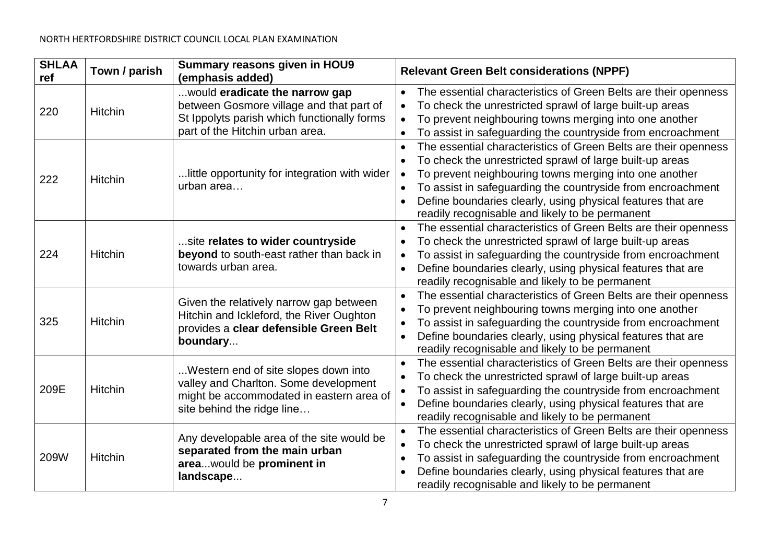| <b>SHLAA</b><br>ref | Town / parish  | <b>Summary reasons given in HOU9</b><br>(emphasis added)                                                                                                     | <b>Relevant Green Belt considerations (NPPF)</b>                                                                                                                                                                                                                                                                                                                                                                           |
|---------------------|----------------|--------------------------------------------------------------------------------------------------------------------------------------------------------------|----------------------------------------------------------------------------------------------------------------------------------------------------------------------------------------------------------------------------------------------------------------------------------------------------------------------------------------------------------------------------------------------------------------------------|
| 220                 | <b>Hitchin</b> | would eradicate the narrow gap<br>between Gosmore village and that part of<br>St Ippolyts parish which functionally forms<br>part of the Hitchin urban area. | The essential characteristics of Green Belts are their openness<br>$\bullet$<br>To check the unrestricted sprawl of large built-up areas<br>$\bullet$<br>To prevent neighbouring towns merging into one another<br>$\bullet$<br>To assist in safeguarding the countryside from encroachment                                                                                                                                |
| 222                 | <b>Hitchin</b> | little opportunity for integration with wider<br>urban area                                                                                                  | The essential characteristics of Green Belts are their openness<br>To check the unrestricted sprawl of large built-up areas<br>$\bullet$<br>To prevent neighbouring towns merging into one another<br>$\bullet$<br>To assist in safeguarding the countryside from encroachment<br>$\bullet$<br>Define boundaries clearly, using physical features that are<br>$\bullet$<br>readily recognisable and likely to be permanent |
| 224                 | <b>Hitchin</b> | site relates to wider countryside<br>beyond to south-east rather than back in<br>towards urban area.                                                         | The essential characteristics of Green Belts are their openness<br>To check the unrestricted sprawl of large built-up areas<br>$\bullet$<br>To assist in safeguarding the countryside from encroachment<br>$\bullet$<br>Define boundaries clearly, using physical features that are<br>$\bullet$<br>readily recognisable and likely to be permanent                                                                        |
| 325                 | <b>Hitchin</b> | Given the relatively narrow gap between<br>Hitchin and Ickleford, the River Oughton<br>provides a clear defensible Green Belt<br>boundary                    | The essential characteristics of Green Belts are their openness<br>To prevent neighbouring towns merging into one another<br>$\bullet$<br>To assist in safeguarding the countryside from encroachment<br>$\bullet$<br>Define boundaries clearly, using physical features that are<br>readily recognisable and likely to be permanent                                                                                       |
| 209E                | <b>Hitchin</b> | Western end of site slopes down into<br>valley and Charlton. Some development<br>might be accommodated in eastern area of<br>site behind the ridge line      | The essential characteristics of Green Belts are their openness<br>To check the unrestricted sprawl of large built-up areas<br>To assist in safeguarding the countryside from encroachment<br>$\bullet$<br>Define boundaries clearly, using physical features that are<br>readily recognisable and likely to be permanent                                                                                                  |
| 209W                | <b>Hitchin</b> | Any developable area of the site would be<br>separated from the main urban<br>areawould be prominent in<br>landscape                                         | The essential characteristics of Green Belts are their openness<br>To check the unrestricted sprawl of large built-up areas<br>$\bullet$<br>To assist in safeguarding the countryside from encroachment<br>$\bullet$<br>Define boundaries clearly, using physical features that are<br>readily recognisable and likely to be permanent                                                                                     |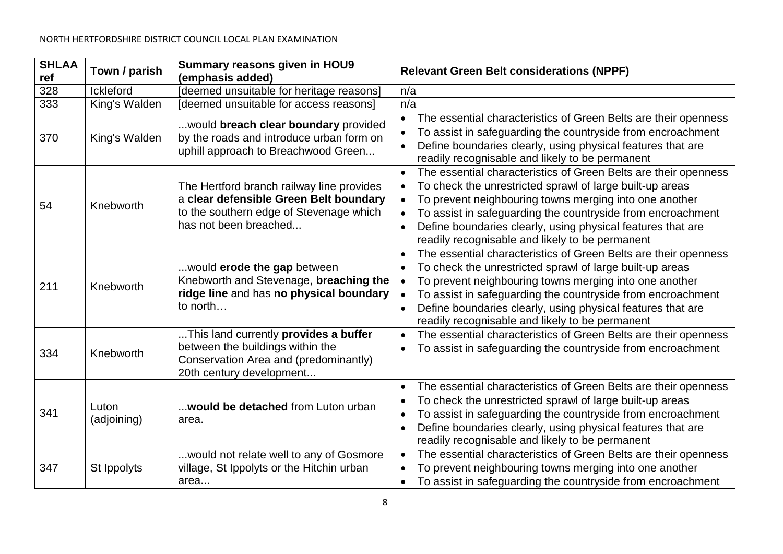| <b>SHLAA</b><br>ref | Town / parish        | <b>Summary reasons given in HOU9</b><br>(emphasis added)                                                                                                | <b>Relevant Green Belt considerations (NPPF)</b>                                                                                                                                                                                                                                                                                                                                    |
|---------------------|----------------------|---------------------------------------------------------------------------------------------------------------------------------------------------------|-------------------------------------------------------------------------------------------------------------------------------------------------------------------------------------------------------------------------------------------------------------------------------------------------------------------------------------------------------------------------------------|
| 328                 | <b>Ickleford</b>     | [deemed unsuitable for heritage reasons]                                                                                                                | n/a                                                                                                                                                                                                                                                                                                                                                                                 |
| 333                 | King's Walden        | [deemed unsuitable for access reasons]                                                                                                                  | n/a                                                                                                                                                                                                                                                                                                                                                                                 |
| 370                 | King's Walden        | would breach clear boundary provided<br>by the roads and introduce urban form on<br>uphill approach to Breachwood Green                                 | The essential characteristics of Green Belts are their openness<br>$\bullet$<br>To assist in safeguarding the countryside from encroachment<br>Define boundaries clearly, using physical features that are<br>readily recognisable and likely to be permanent                                                                                                                       |
| 54                  | Knebworth            | The Hertford branch railway line provides<br>a clear defensible Green Belt boundary<br>to the southern edge of Stevenage which<br>has not been breached | The essential characteristics of Green Belts are their openness<br>To check the unrestricted sprawl of large built-up areas<br>$\bullet$<br>To prevent neighbouring towns merging into one another<br>To assist in safeguarding the countryside from encroachment<br>Define boundaries clearly, using physical features that are<br>readily recognisable and likely to be permanent |
| 211                 | Knebworth            | would erode the gap between<br>Knebworth and Stevenage, breaching the<br>ridge line and has no physical boundary<br>to north                            | The essential characteristics of Green Belts are their openness<br>To check the unrestricted sprawl of large built-up areas<br>$\bullet$<br>To prevent neighbouring towns merging into one another<br>To assist in safeguarding the countryside from encroachment<br>Define boundaries clearly, using physical features that are<br>readily recognisable and likely to be permanent |
| 334                 | Knebworth            | This land currently provides a buffer<br>between the buildings within the<br>Conservation Area and (predominantly)<br>20th century development          | The essential characteristics of Green Belts are their openness<br>$\bullet$<br>To assist in safeguarding the countryside from encroachment<br>$\bullet$                                                                                                                                                                                                                            |
| 341                 | Luton<br>(adjoining) | would be detached from Luton urban<br>area.                                                                                                             | The essential characteristics of Green Belts are their openness<br>To check the unrestricted sprawl of large built-up areas<br>To assist in safeguarding the countryside from encroachment<br>Define boundaries clearly, using physical features that are<br>$\bullet$<br>readily recognisable and likely to be permanent                                                           |
| 347                 | St Ippolyts          | would not relate well to any of Gosmore<br>village, St Ippolyts or the Hitchin urban<br>area                                                            | The essential characteristics of Green Belts are their openness<br>$\bullet$<br>To prevent neighbouring towns merging into one another<br>To assist in safeguarding the countryside from encroachment                                                                                                                                                                               |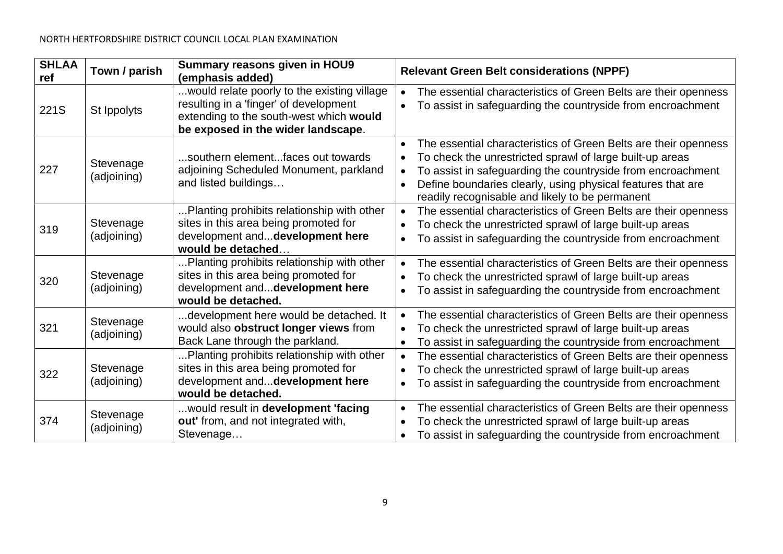| <b>SHLAA</b><br>ref | Town / parish            | Summary reasons given in HOU9<br>(emphasis added)                                                                                                                      | <b>Relevant Green Belt considerations (NPPF)</b>                                                                                                                                                                                                                                                                                                    |
|---------------------|--------------------------|------------------------------------------------------------------------------------------------------------------------------------------------------------------------|-----------------------------------------------------------------------------------------------------------------------------------------------------------------------------------------------------------------------------------------------------------------------------------------------------------------------------------------------------|
| 221S                | St Ippolyts              | would relate poorly to the existing village<br>resulting in a 'finger' of development<br>extending to the south-west which would<br>be exposed in the wider landscape. | The essential characteristics of Green Belts are their openness<br>$\bullet$<br>To assist in safeguarding the countryside from encroachment                                                                                                                                                                                                         |
| 227                 | Stevenage<br>(adjoining) | .southern elementfaces out towards<br>adjoining Scheduled Monument, parkland<br>and listed buildings                                                                   | The essential characteristics of Green Belts are their openness<br>To check the unrestricted sprawl of large built-up areas<br>$\bullet$<br>To assist in safeguarding the countryside from encroachment<br>$\bullet$<br>Define boundaries clearly, using physical features that are<br>$\bullet$<br>readily recognisable and likely to be permanent |
| 319                 | Stevenage<br>(adjoining) | Planting prohibits relationship with other<br>sites in this area being promoted for<br>development anddevelopment here<br>would be detached                            | The essential characteristics of Green Belts are their openness<br>To check the unrestricted sprawl of large built-up areas<br>$\bullet$<br>To assist in safeguarding the countryside from encroachment                                                                                                                                             |
| 320                 | Stevenage<br>(adjoining) | Planting prohibits relationship with other<br>sites in this area being promoted for<br>development anddevelopment here<br>would be detached.                           | The essential characteristics of Green Belts are their openness<br>To check the unrestricted sprawl of large built-up areas<br>$\bullet$<br>To assist in safeguarding the countryside from encroachment<br>$\bullet$                                                                                                                                |
| 321                 | Stevenage<br>(adjoining) | development here would be detached. It<br>would also obstruct longer views from<br>Back Lane through the parkland.                                                     | The essential characteristics of Green Belts are their openness<br>$\bullet$<br>To check the unrestricted sprawl of large built-up areas<br>To assist in safeguarding the countryside from encroachment<br>$\bullet$                                                                                                                                |
| 322                 | Stevenage<br>(adjoining) | Planting prohibits relationship with other<br>sites in this area being promoted for<br>development anddevelopment here<br>would be detached.                           | The essential characteristics of Green Belts are their openness<br>$\bullet$<br>To check the unrestricted sprawl of large built-up areas<br>To assist in safeguarding the countryside from encroachment<br>$\bullet$                                                                                                                                |
| 374                 | Stevenage<br>(adjoining) | would result in development 'facing<br>out' from, and not integrated with,<br>Stevenage                                                                                | The essential characteristics of Green Belts are their openness<br>$\bullet$<br>To check the unrestricted sprawl of large built-up areas<br>To assist in safeguarding the countryside from encroachment<br>$\bullet$                                                                                                                                |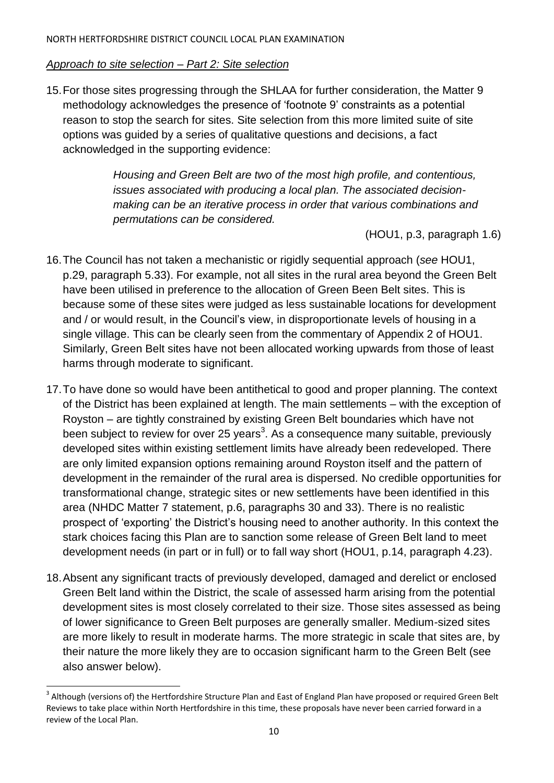#### *Approach to site selection – Part 2: Site selection*

15.For those sites progressing through the SHLAA for further consideration, the Matter 9 methodology acknowledges the presence of 'footnote 9' constraints as a potential reason to stop the search for sites. Site selection from this more limited suite of site options was guided by a series of qualitative questions and decisions, a fact acknowledged in the supporting evidence:

> *Housing and Green Belt are two of the most high profile, and contentious, issues associated with producing a local plan. The associated decisionmaking can be an iterative process in order that various combinations and permutations can be considered.*

> > (HOU1, p.3, paragraph 1.6)

- 16.The Council has not taken a mechanistic or rigidly sequential approach (*see* HOU1, p.29, paragraph 5.33). For example, not all sites in the rural area beyond the Green Belt have been utilised in preference to the allocation of Green Been Belt sites. This is because some of these sites were judged as less sustainable locations for development and / or would result, in the Council's view, in disproportionate levels of housing in a single village. This can be clearly seen from the commentary of Appendix 2 of HOU1. Similarly, Green Belt sites have not been allocated working upwards from those of least harms through moderate to significant.
- 17.To have done so would have been antithetical to good and proper planning. The context of the District has been explained at length. The main settlements – with the exception of Royston – are tightly constrained by existing Green Belt boundaries which have not been subject to review for over 25 years<sup>3</sup>. As a consequence many suitable, previously developed sites within existing settlement limits have already been redeveloped. There are only limited expansion options remaining around Royston itself and the pattern of development in the remainder of the rural area is dispersed. No credible opportunities for transformational change, strategic sites or new settlements have been identified in this area (NHDC Matter 7 statement, p.6, paragraphs 30 and 33). There is no realistic prospect of 'exporting' the District's housing need to another authority. In this context the stark choices facing this Plan are to sanction some release of Green Belt land to meet development needs (in part or in full) or to fall way short (HOU1, p.14, paragraph 4.23).
- 18.Absent any significant tracts of previously developed, damaged and derelict or enclosed Green Belt land within the District, the scale of assessed harm arising from the potential development sites is most closely correlated to their size. Those sites assessed as being of lower significance to Green Belt purposes are generally smaller. Medium-sized sites are more likely to result in moderate harms. The more strategic in scale that sites are, by their nature the more likely they are to occasion significant harm to the Green Belt (see also answer below).

<sup>&</sup>lt;sup>3</sup> Although (versions of) the Hertfordshire Structure Plan and East of England Plan have proposed or required Green Belt Reviews to take place within North Hertfordshire in this time, these proposals have never been carried forward in a review of the Local Plan.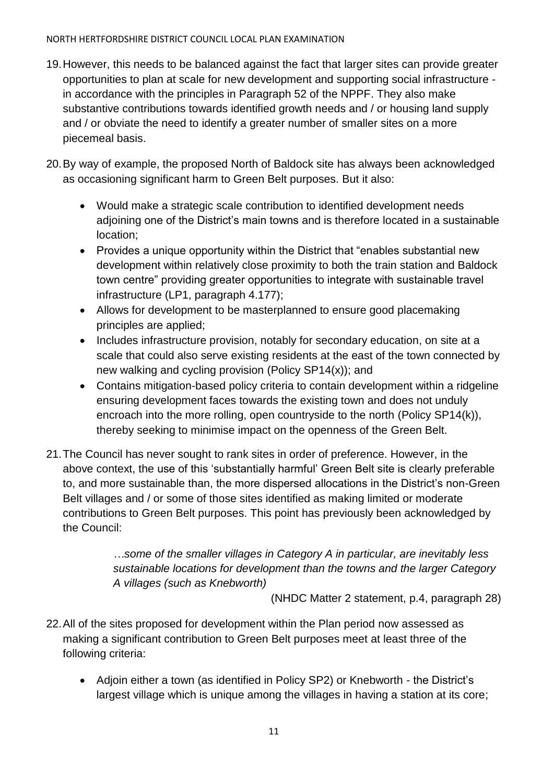- 19.However, this needs to be balanced against the fact that larger sites can provide greater opportunities to plan at scale for new development and supporting social infrastructure in accordance with the principles in Paragraph 52 of the NPPF. They also make substantive contributions towards identified growth needs and / or housing land supply and / or obviate the need to identify a greater number of smaller sites on a more piecemeal basis.
- 20.By way of example, the proposed North of Baldock site has always been acknowledged as occasioning significant harm to Green Belt purposes. But it also:
	- Would make a strategic scale contribution to identified development needs adjoining one of the District's main towns and is therefore located in a sustainable location;
	- Provides a unique opportunity within the District that "enables substantial new development within relatively close proximity to both the train station and Baldock town centre" providing greater opportunities to integrate with sustainable travel infrastructure (LP1, paragraph 4.177);
	- Allows for development to be masterplanned to ensure good placemaking principles are applied;
	- Includes infrastructure provision, notably for secondary education, on site at a scale that could also serve existing residents at the east of the town connected by new walking and cycling provision (Policy SP14(x)); and
	- Contains mitigation-based policy criteria to contain development within a ridgeline ensuring development faces towards the existing town and does not unduly encroach into the more rolling, open countryside to the north (Policy SP14(k)), thereby seeking to minimise impact on the openness of the Green Belt.
- 21.The Council has never sought to rank sites in order of preference. However, in the above context, the use of this 'substantially harmful' Green Belt site is clearly preferable to, and more sustainable than, the more dispersed allocations in the District's non-Green Belt villages and / or some of those sites identified as making limited or moderate contributions to Green Belt purposes. This point has previously been acknowledged by the Council:

*…some of the smaller villages in Category A in particular, are inevitably less sustainable locations for development than the towns and the larger Category A villages (such as Knebworth)*

(NHDC Matter 2 statement, p.4, paragraph 28)

- 22.All of the sites proposed for development within the Plan period now assessed as making a significant contribution to Green Belt purposes meet at least three of the following criteria:
	- Adjoin either a town (as identified in Policy SP2) or Knebworth the District's largest village which is unique among the villages in having a station at its core;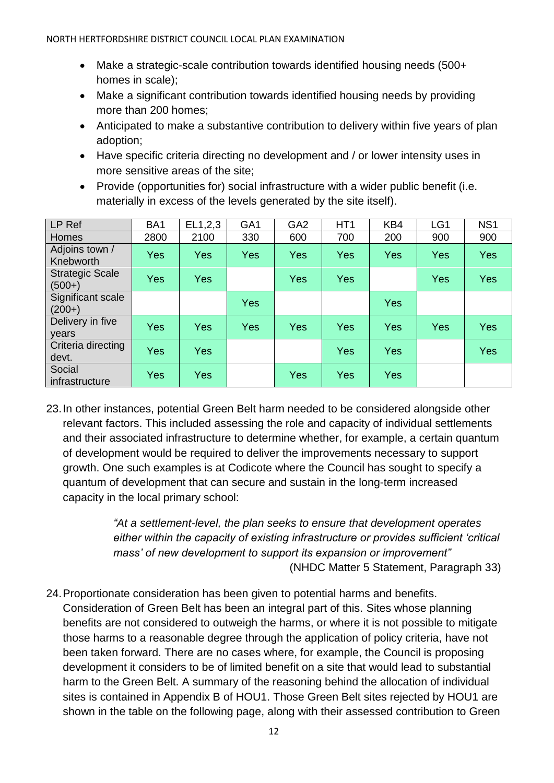- Make a strategic-scale contribution towards identified housing needs (500+ homes in scale);
- Make a significant contribution towards identified housing needs by providing more than 200 homes;
- Anticipated to make a substantive contribution to delivery within five years of plan adoption;
- Have specific criteria directing no development and / or lower intensity uses in more sensitive areas of the site;
- Provide (opportunities for) social infrastructure with a wider public benefit (i.e. materially in excess of the levels generated by the site itself).

| LP Ref                             | BA <sub>1</sub> | EL1,2,3    | GA <sub>1</sub> | GA <sub>2</sub> | HT <sub>1</sub> | KB4 | LG1 | NS <sub>1</sub> |
|------------------------------------|-----------------|------------|-----------------|-----------------|-----------------|-----|-----|-----------------|
| Homes                              | 2800            | 2100       | 330             | 600             | 700             | 200 | 900 | 900             |
| Adjoins town /<br>Knebworth        | Yes             | <b>Yes</b> | <b>Yes</b>      | Yes             | <b>Yes</b>      | Yes | Yes | Yes             |
| <b>Strategic Scale</b><br>$(500+)$ | Yes             | <b>Yes</b> |                 | Yes             | Yes             |     | Yes | Yes             |
| Significant scale<br>$(200+)$      |                 |            | <b>Yes</b>      |                 |                 | Yes |     |                 |
| Delivery in five<br>vears          | Yes             | <b>Yes</b> | Yes             | Yes             | <b>Yes</b>      | Yes | Yes | <b>Yes</b>      |
| Criteria directing<br>devt.        | Yes             | Yes        |                 |                 | <b>Yes</b>      | Yes |     | Yes             |
| Social<br>infrastructure           | Yes             | <b>Yes</b> |                 | Yes             | <b>Yes</b>      | Yes |     |                 |

23.In other instances, potential Green Belt harm needed to be considered alongside other relevant factors. This included assessing the role and capacity of individual settlements and their associated infrastructure to determine whether, for example, a certain quantum of development would be required to deliver the improvements necessary to support growth. One such examples is at Codicote where the Council has sought to specify a quantum of development that can secure and sustain in the long-term increased capacity in the local primary school:

> *"At a settlement-level, the plan seeks to ensure that development operates either within the capacity of existing infrastructure or provides sufficient 'critical mass' of new development to support its expansion or improvement"* (NHDC Matter 5 Statement, Paragraph 33)

24.Proportionate consideration has been given to potential harms and benefits. Consideration of Green Belt has been an integral part of this. Sites whose planning benefits are not considered to outweigh the harms, or where it is not possible to mitigate those harms to a reasonable degree through the application of policy criteria, have not been taken forward. There are no cases where, for example, the Council is proposing development it considers to be of limited benefit on a site that would lead to substantial harm to the Green Belt. A summary of the reasoning behind the allocation of individual sites is contained in Appendix B of HOU1. Those Green Belt sites rejected by HOU1 are shown in the table on the following page, along with their assessed contribution to Green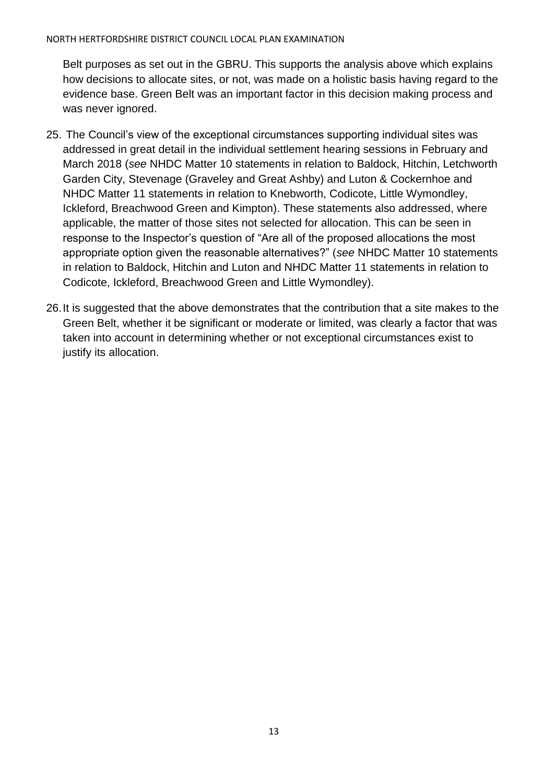Belt purposes as set out in the GBRU. This supports the analysis above which explains how decisions to allocate sites, or not, was made on a holistic basis having regard to the evidence base. Green Belt was an important factor in this decision making process and was never ignored.

- 25. The Council's view of the exceptional circumstances supporting individual sites was addressed in great detail in the individual settlement hearing sessions in February and March 2018 (*see* NHDC Matter 10 statements in relation to Baldock, Hitchin, Letchworth Garden City, Stevenage (Graveley and Great Ashby) and Luton & Cockernhoe and NHDC Matter 11 statements in relation to Knebworth, Codicote, Little Wymondley, Ickleford, Breachwood Green and Kimpton). These statements also addressed, where applicable, the matter of those sites not selected for allocation. This can be seen in response to the Inspector's question of "Are all of the proposed allocations the most appropriate option given the reasonable alternatives?" (*see* NHDC Matter 10 statements in relation to Baldock, Hitchin and Luton and NHDC Matter 11 statements in relation to Codicote, Ickleford, Breachwood Green and Little Wymondley).
- 26.It is suggested that the above demonstrates that the contribution that a site makes to the Green Belt, whether it be significant or moderate or limited, was clearly a factor that was taken into account in determining whether or not exceptional circumstances exist to justify its allocation.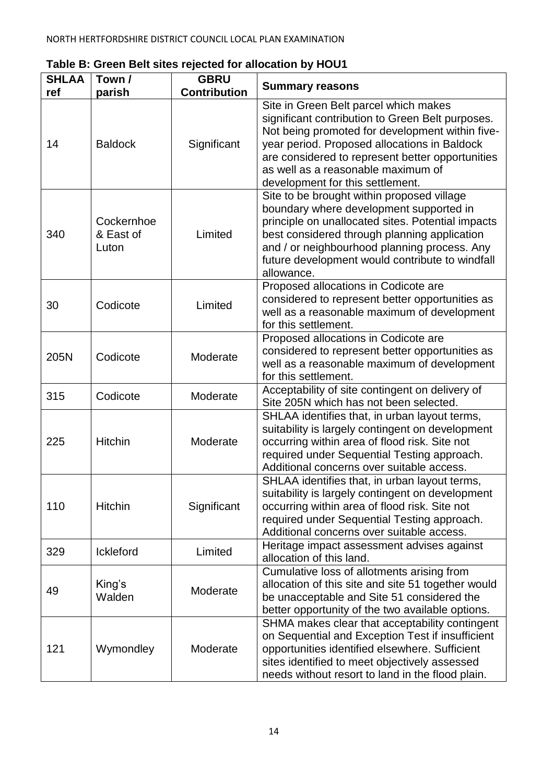| <b>SHLAA</b> | Town /                           | <b>GBRU</b>         |                                                                                                                                                                                                                                                                                                                            |
|--------------|----------------------------------|---------------------|----------------------------------------------------------------------------------------------------------------------------------------------------------------------------------------------------------------------------------------------------------------------------------------------------------------------------|
| ref          | parish                           | <b>Contribution</b> | <b>Summary reasons</b>                                                                                                                                                                                                                                                                                                     |
| 14           | <b>Baldock</b>                   | Significant         | Site in Green Belt parcel which makes<br>significant contribution to Green Belt purposes.<br>Not being promoted for development within five-<br>year period. Proposed allocations in Baldock<br>are considered to represent better opportunities<br>as well as a reasonable maximum of<br>development for this settlement. |
| 340          | Cockernhoe<br>& East of<br>Luton | Limited             | Site to be brought within proposed village<br>boundary where development supported in<br>principle on unallocated sites. Potential impacts<br>best considered through planning application<br>and / or neighbourhood planning process. Any<br>future development would contribute to windfall<br>allowance.                |
| 30           | Codicote                         | Limited             | Proposed allocations in Codicote are<br>considered to represent better opportunities as<br>well as a reasonable maximum of development<br>for this settlement.                                                                                                                                                             |
| 205N         | Codicote                         | Moderate            | Proposed allocations in Codicote are<br>considered to represent better opportunities as<br>well as a reasonable maximum of development<br>for this settlement.                                                                                                                                                             |
| 315          | Codicote                         | Moderate            | Acceptability of site contingent on delivery of<br>Site 205N which has not been selected.                                                                                                                                                                                                                                  |
| 225          | <b>Hitchin</b>                   | Moderate            | SHLAA identifies that, in urban layout terms,<br>suitability is largely contingent on development<br>occurring within area of flood risk. Site not<br>required under Sequential Testing approach.<br>Additional concerns over suitable access.                                                                             |
| 110          | <b>Hitchin</b>                   | Significant         | SHLAA identifies that, in urban layout terms,<br>suitability is largely contingent on development<br>occurring within area of flood risk. Site not<br>required under Sequential Testing approach.<br>Additional concerns over suitable access.                                                                             |
| 329          | <b>Ickleford</b>                 | Limited             | Heritage impact assessment advises against<br>allocation of this land.                                                                                                                                                                                                                                                     |
| 49           | King's<br>Walden                 | Moderate            | Cumulative loss of allotments arising from<br>allocation of this site and site 51 together would<br>be unacceptable and Site 51 considered the<br>better opportunity of the two available options.                                                                                                                         |
| 121          | Wymondley                        | Moderate            | SHMA makes clear that acceptability contingent<br>on Sequential and Exception Test if insufficient<br>opportunities identified elsewhere. Sufficient<br>sites identified to meet objectively assessed<br>needs without resort to land in the flood plain.                                                                  |

**Table B: Green Belt sites rejected for allocation by HOU1**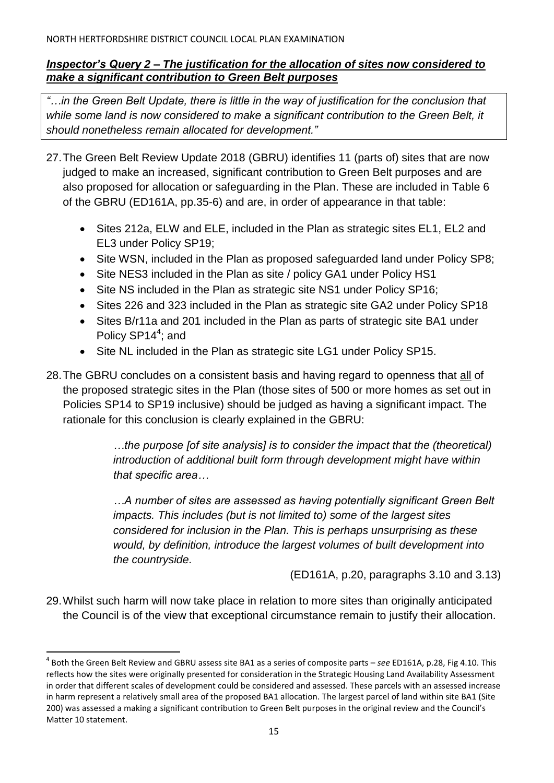### *Inspector's Query 2 – The justification for the allocation of sites now considered to make a significant contribution to Green Belt purposes*

*"…in the Green Belt Update, there is little in the way of justification for the conclusion that while some land is now considered to make a significant contribution to the Green Belt, it should nonetheless remain allocated for development."*

- 27.The Green Belt Review Update 2018 (GBRU) identifies 11 (parts of) sites that are now judged to make an increased, significant contribution to Green Belt purposes and are also proposed for allocation or safeguarding in the Plan. These are included in Table 6 of the GBRU (ED161A, pp.35-6) and are, in order of appearance in that table:
	- Sites 212a, ELW and ELE, included in the Plan as strategic sites EL1, EL2 and EL3 under Policy SP19;
	- Site WSN, included in the Plan as proposed safeguarded land under Policy SP8;
	- Site NES3 included in the Plan as site / policy GA1 under Policy HS1
	- Site NS included in the Plan as strategic site NS1 under Policy SP16;
	- Sites 226 and 323 included in the Plan as strategic site GA2 under Policy SP18
	- Sites B/r11a and 201 included in the Plan as parts of strategic site BA1 under Policy SP14<sup>4</sup>; and
	- Site NL included in the Plan as strategic site LG1 under Policy SP15.
- 28.The GBRU concludes on a consistent basis and having regard to openness that all of the proposed strategic sites in the Plan (those sites of 500 or more homes as set out in Policies SP14 to SP19 inclusive) should be judged as having a significant impact. The rationale for this conclusion is clearly explained in the GBRU:

*…the purpose [of site analysis] is to consider the impact that the (theoretical) introduction of additional built form through development might have within that specific area…*

*…A number of sites are assessed as having potentially significant Green Belt impacts. This includes (but is not limited to) some of the largest sites considered for inclusion in the Plan. This is perhaps unsurprising as these would, by definition, introduce the largest volumes of built development into the countryside.*

(ED161A, p.20, paragraphs 3.10 and 3.13)

29.Whilst such harm will now take place in relation to more sites than originally anticipated the Council is of the view that exceptional circumstance remain to justify their allocation.

<sup>4</sup> Both the Green Belt Review and GBRU assess site BA1 as a series of composite parts – *see* ED161A, p.28, Fig 4.10. This reflects how the sites were originally presented for consideration in the Strategic Housing Land Availability Assessment in order that different scales of development could be considered and assessed. These parcels with an assessed increase in harm represent a relatively small area of the proposed BA1 allocation. The largest parcel of land within site BA1 (Site 200) was assessed a making a significant contribution to Green Belt purposes in the original review and the Council's Matter 10 statement.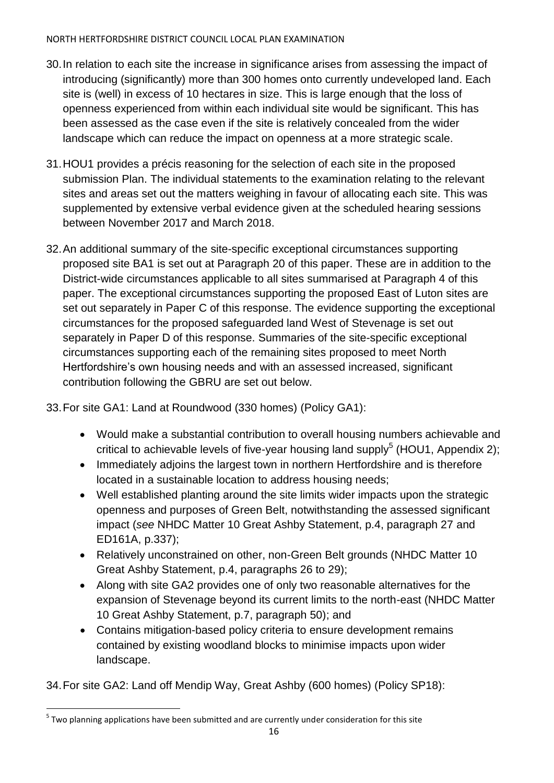- 30.In relation to each site the increase in significance arises from assessing the impact of introducing (significantly) more than 300 homes onto currently undeveloped land. Each site is (well) in excess of 10 hectares in size. This is large enough that the loss of openness experienced from within each individual site would be significant. This has been assessed as the case even if the site is relatively concealed from the wider landscape which can reduce the impact on openness at a more strategic scale.
- 31.HOU1 provides a précis reasoning for the selection of each site in the proposed submission Plan. The individual statements to the examination relating to the relevant sites and areas set out the matters weighing in favour of allocating each site. This was supplemented by extensive verbal evidence given at the scheduled hearing sessions between November 2017 and March 2018.
- 32.An additional summary of the site-specific exceptional circumstances supporting proposed site BA1 is set out at Paragraph 20 of this paper. These are in addition to the District-wide circumstances applicable to all sites summarised at Paragraph 4 of this paper. The exceptional circumstances supporting the proposed East of Luton sites are set out separately in Paper C of this response. The evidence supporting the exceptional circumstances for the proposed safeguarded land West of Stevenage is set out separately in Paper D of this response. Summaries of the site-specific exceptional circumstances supporting each of the remaining sites proposed to meet North Hertfordshire's own housing needs and with an assessed increased, significant contribution following the GBRU are set out below.
- 33.For site GA1: Land at Roundwood (330 homes) (Policy GA1):
	- Would make a substantial contribution to overall housing numbers achievable and critical to achievable levels of five-year housing land supply<sup>5</sup> (HOU1, Appendix 2);
	- Immediately adjoins the largest town in northern Hertfordshire and is therefore located in a sustainable location to address housing needs;
	- Well established planting around the site limits wider impacts upon the strategic openness and purposes of Green Belt, notwithstanding the assessed significant impact (*see* NHDC Matter 10 Great Ashby Statement, p.4, paragraph 27 and ED161A, p.337);
	- Relatively unconstrained on other, non-Green Belt grounds (NHDC Matter 10 Great Ashby Statement, p.4, paragraphs 26 to 29);
	- Along with site GA2 provides one of only two reasonable alternatives for the expansion of Stevenage beyond its current limits to the north-east (NHDC Matter 10 Great Ashby Statement, p.7, paragraph 50); and
	- Contains mitigation-based policy criteria to ensure development remains contained by existing woodland blocks to minimise impacts upon wider landscape.

34.For site GA2: Land off Mendip Way, Great Ashby (600 homes) (Policy SP18):

 $<sup>5</sup>$  Two planning applications have been submitted and are currently under consideration for this site</sup>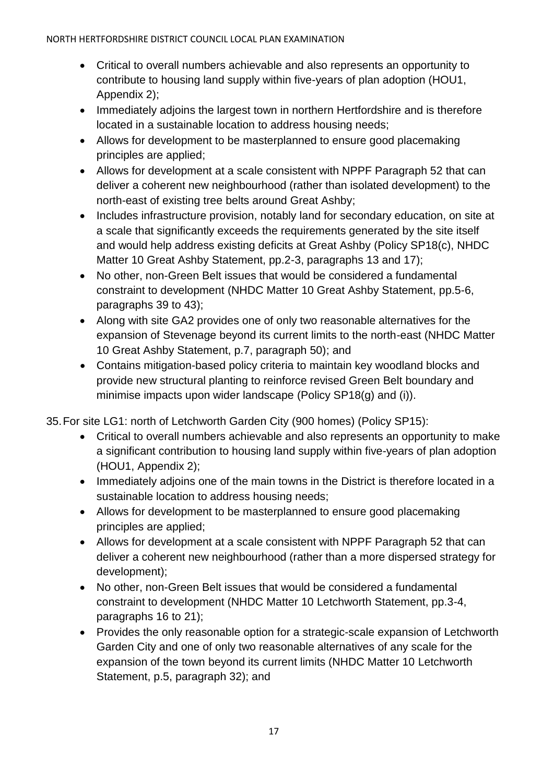- Critical to overall numbers achievable and also represents an opportunity to contribute to housing land supply within five-years of plan adoption (HOU1, Appendix 2);
- Immediately adjoins the largest town in northern Hertfordshire and is therefore located in a sustainable location to address housing needs;
- Allows for development to be masterplanned to ensure good placemaking principles are applied;
- Allows for development at a scale consistent with NPPF Paragraph 52 that can deliver a coherent new neighbourhood (rather than isolated development) to the north-east of existing tree belts around Great Ashby;
- Includes infrastructure provision, notably land for secondary education, on site at a scale that significantly exceeds the requirements generated by the site itself and would help address existing deficits at Great Ashby (Policy SP18(c), NHDC Matter 10 Great Ashby Statement, pp. 2-3, paragraphs 13 and 17);
- No other, non-Green Belt issues that would be considered a fundamental constraint to development (NHDC Matter 10 Great Ashby Statement, pp.5-6, paragraphs 39 to 43);
- Along with site GA2 provides one of only two reasonable alternatives for the expansion of Stevenage beyond its current limits to the north-east (NHDC Matter 10 Great Ashby Statement, p.7, paragraph 50); and
- Contains mitigation-based policy criteria to maintain key woodland blocks and provide new structural planting to reinforce revised Green Belt boundary and minimise impacts upon wider landscape (Policy SP18(g) and (i)).

35.For site LG1: north of Letchworth Garden City (900 homes) (Policy SP15):

- Critical to overall numbers achievable and also represents an opportunity to make a significant contribution to housing land supply within five-years of plan adoption (HOU1, Appendix 2);
- Immediately adjoins one of the main towns in the District is therefore located in a sustainable location to address housing needs;
- Allows for development to be masterplanned to ensure good placemaking principles are applied;
- Allows for development at a scale consistent with NPPF Paragraph 52 that can deliver a coherent new neighbourhood (rather than a more dispersed strategy for development);
- No other, non-Green Belt issues that would be considered a fundamental constraint to development (NHDC Matter 10 Letchworth Statement, pp.3-4, paragraphs 16 to 21);
- Provides the only reasonable option for a strategic-scale expansion of Letchworth Garden City and one of only two reasonable alternatives of any scale for the expansion of the town beyond its current limits (NHDC Matter 10 Letchworth Statement, p.5, paragraph 32); and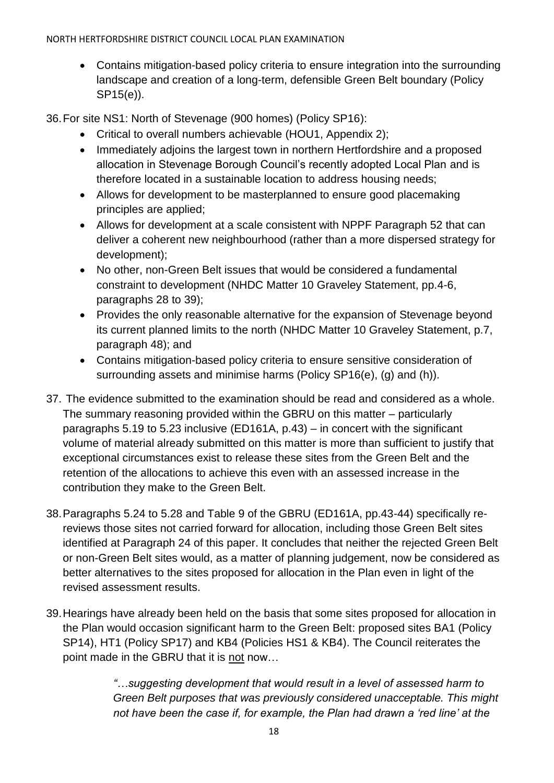Contains mitigation-based policy criteria to ensure integration into the surrounding landscape and creation of a long-term, defensible Green Belt boundary (Policy SP15(e)).

36.For site NS1: North of Stevenage (900 homes) (Policy SP16):

- Critical to overall numbers achievable (HOU1, Appendix 2);
- Immediately adjoins the largest town in northern Hertfordshire and a proposed allocation in Stevenage Borough Council's recently adopted Local Plan and is therefore located in a sustainable location to address housing needs;
- Allows for development to be masterplanned to ensure good placemaking principles are applied;
- Allows for development at a scale consistent with NPPF Paragraph 52 that can deliver a coherent new neighbourhood (rather than a more dispersed strategy for development);
- No other, non-Green Belt issues that would be considered a fundamental constraint to development (NHDC Matter 10 Graveley Statement, pp.4-6, paragraphs 28 to 39);
- Provides the only reasonable alternative for the expansion of Stevenage beyond its current planned limits to the north (NHDC Matter 10 Graveley Statement, p.7, paragraph 48); and
- Contains mitigation-based policy criteria to ensure sensitive consideration of surrounding assets and minimise harms (Policy SP16(e), (g) and (h)).
- 37. The evidence submitted to the examination should be read and considered as a whole. The summary reasoning provided within the GBRU on this matter – particularly paragraphs 5.19 to 5.23 inclusive (ED161A, p.43) – in concert with the significant volume of material already submitted on this matter is more than sufficient to justify that exceptional circumstances exist to release these sites from the Green Belt and the retention of the allocations to achieve this even with an assessed increase in the contribution they make to the Green Belt.
- 38.Paragraphs 5.24 to 5.28 and Table 9 of the GBRU (ED161A, pp.43-44) specifically rereviews those sites not carried forward for allocation, including those Green Belt sites identified at Paragraph 24 of this paper. It concludes that neither the rejected Green Belt or non-Green Belt sites would, as a matter of planning judgement, now be considered as better alternatives to the sites proposed for allocation in the Plan even in light of the revised assessment results.
- 39.Hearings have already been held on the basis that some sites proposed for allocation in the Plan would occasion significant harm to the Green Belt: proposed sites BA1 (Policy SP14), HT1 (Policy SP17) and KB4 (Policies HS1 & KB4). The Council reiterates the point made in the GBRU that it is not now…

*"…suggesting development that would result in a level of assessed harm to Green Belt purposes that was previously considered unacceptable. This might not have been the case if, for example, the Plan had drawn a 'red line' at the*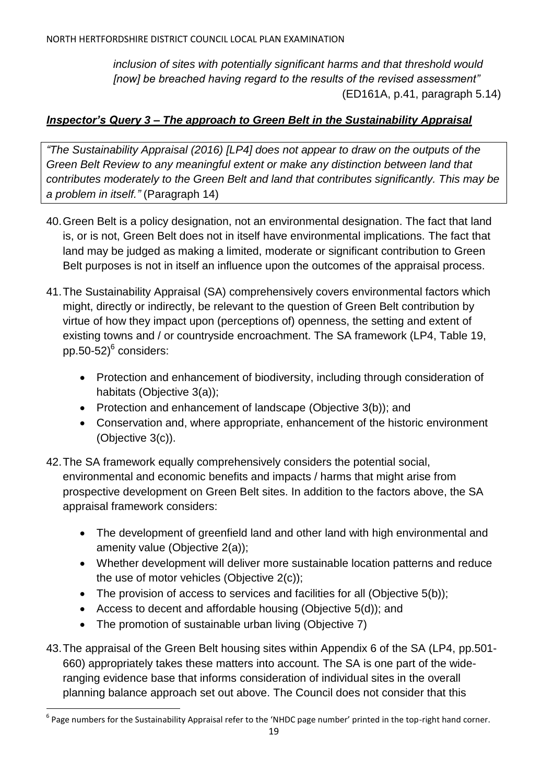*inclusion of sites with potentially significant harms and that threshold would [now] be breached having regard to the results of the revised assessment"* (ED161A, p.41, paragraph 5.14)

# *Inspector's Query 3 – The approach to Green Belt in the Sustainability Appraisal*

*"The Sustainability Appraisal (2016) [LP4] does not appear to draw on the outputs of the Green Belt Review to any meaningful extent or make any distinction between land that contributes moderately to the Green Belt and land that contributes significantly. This may be a problem in itself."* (Paragraph 14)

- 40.Green Belt is a policy designation, not an environmental designation. The fact that land is, or is not, Green Belt does not in itself have environmental implications. The fact that land may be judged as making a limited, moderate or significant contribution to Green Belt purposes is not in itself an influence upon the outcomes of the appraisal process.
- 41.The Sustainability Appraisal (SA) comprehensively covers environmental factors which might, directly or indirectly, be relevant to the question of Green Belt contribution by virtue of how they impact upon (perceptions of) openness, the setting and extent of existing towns and / or countryside encroachment. The SA framework (LP4, Table 19, pp.50-52) $^6$  considers:
	- Protection and enhancement of biodiversity, including through consideration of habitats (Objective 3(a));
	- Protection and enhancement of landscape (Objective 3(b)); and
	- Conservation and, where appropriate, enhancement of the historic environment (Objective 3(c)).
- 42.The SA framework equally comprehensively considers the potential social, environmental and economic benefits and impacts / harms that might arise from prospective development on Green Belt sites. In addition to the factors above, the SA appraisal framework considers:
	- The development of greenfield land and other land with high environmental and amenity value (Objective 2(a));
	- Whether development will deliver more sustainable location patterns and reduce the use of motor vehicles (Objective 2(c));
	- The provision of access to services and facilities for all (Objective 5(b));
	- Access to decent and affordable housing (Objective 5(d)); and
	- The promotion of sustainable urban living (Objective 7)

 $\overline{a}$ 

43.The appraisal of the Green Belt housing sites within Appendix 6 of the SA (LP4, pp.501- 660) appropriately takes these matters into account. The SA is one part of the wideranging evidence base that informs consideration of individual sites in the overall planning balance approach set out above. The Council does not consider that this

<sup>&</sup>lt;sup>6</sup> Page numbers for the Sustainability Appraisal refer to the 'NHDC page number' printed in the top-right hand corner.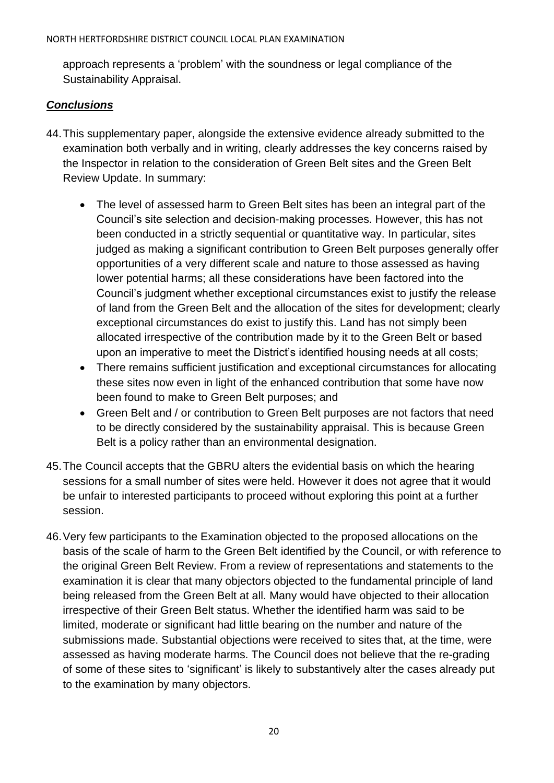approach represents a 'problem' with the soundness or legal compliance of the Sustainability Appraisal.

## *Conclusions*

- 44.This supplementary paper, alongside the extensive evidence already submitted to the examination both verbally and in writing, clearly addresses the key concerns raised by the Inspector in relation to the consideration of Green Belt sites and the Green Belt Review Update. In summary:
	- The level of assessed harm to Green Belt sites has been an integral part of the Council's site selection and decision-making processes. However, this has not been conducted in a strictly sequential or quantitative way. In particular, sites judged as making a significant contribution to Green Belt purposes generally offer opportunities of a very different scale and nature to those assessed as having lower potential harms; all these considerations have been factored into the Council's judgment whether exceptional circumstances exist to justify the release of land from the Green Belt and the allocation of the sites for development; clearly exceptional circumstances do exist to justify this. Land has not simply been allocated irrespective of the contribution made by it to the Green Belt or based upon an imperative to meet the District's identified housing needs at all costs;
	- There remains sufficient justification and exceptional circumstances for allocating these sites now even in light of the enhanced contribution that some have now been found to make to Green Belt purposes; and
	- Green Belt and / or contribution to Green Belt purposes are not factors that need to be directly considered by the sustainability appraisal. This is because Green Belt is a policy rather than an environmental designation.
- 45.The Council accepts that the GBRU alters the evidential basis on which the hearing sessions for a small number of sites were held. However it does not agree that it would be unfair to interested participants to proceed without exploring this point at a further session.
- 46.Very few participants to the Examination objected to the proposed allocations on the basis of the scale of harm to the Green Belt identified by the Council, or with reference to the original Green Belt Review. From a review of representations and statements to the examination it is clear that many objectors objected to the fundamental principle of land being released from the Green Belt at all. Many would have objected to their allocation irrespective of their Green Belt status. Whether the identified harm was said to be limited, moderate or significant had little bearing on the number and nature of the submissions made. Substantial objections were received to sites that, at the time, were assessed as having moderate harms. The Council does not believe that the re-grading of some of these sites to 'significant' is likely to substantively alter the cases already put to the examination by many objectors.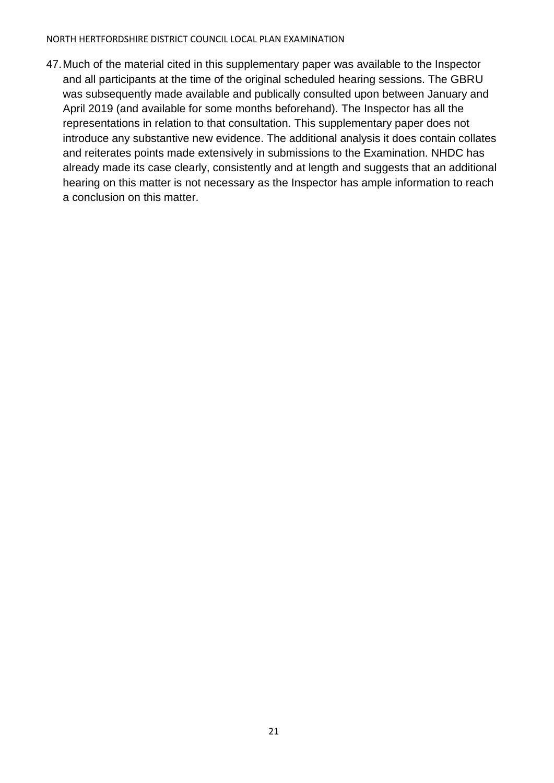47.Much of the material cited in this supplementary paper was available to the Inspector and all participants at the time of the original scheduled hearing sessions. The GBRU was subsequently made available and publically consulted upon between January and April 2019 (and available for some months beforehand). The Inspector has all the representations in relation to that consultation. This supplementary paper does not introduce any substantive new evidence. The additional analysis it does contain collates and reiterates points made extensively in submissions to the Examination. NHDC has already made its case clearly, consistently and at length and suggests that an additional hearing on this matter is not necessary as the Inspector has ample information to reach a conclusion on this matter.